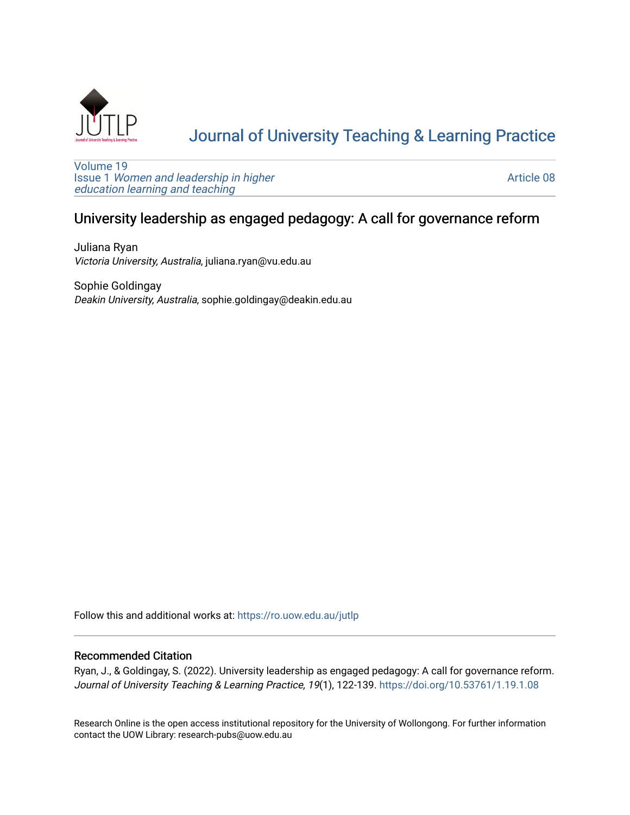

# [Journal of University Teaching & Learning Practice](https://ro.uow.edu.au/jutlp)

[Volume 19](https://ro.uow.edu.au/jutlp/vol19) Issue 1 [Women and leadership in higher](https://ro.uow.edu.au/jutlp/vol19/iss1) [education learning and teaching](https://ro.uow.edu.au/jutlp/vol19/iss1)

[Article 08](https://ro.uow.edu.au/jutlp/vol19/iss1/08) 

## University leadership as engaged pedagogy: A call for governance reform

Juliana Ryan Victoria University, Australia, juliana.ryan@vu.edu.au

Sophie Goldingay Deakin University, Australia, sophie.goldingay@deakin.edu.au

Follow this and additional works at: [https://ro.uow.edu.au/jutlp](https://ro.uow.edu.au/jutlp?utm_source=ro.uow.edu.au%2Fjutlp%2Fvol19%2Fiss1%2F08&utm_medium=PDF&utm_campaign=PDFCoverPages) 

### Recommended Citation

Ryan, J., & Goldingay, S. (2022). University leadership as engaged pedagogy: A call for governance reform. Journal of University Teaching & Learning Practice, 19(1), 122-139. <https://doi.org/10.53761/1.19.1.08>

Research Online is the open access institutional repository for the University of Wollongong. For further information contact the UOW Library: research-pubs@uow.edu.au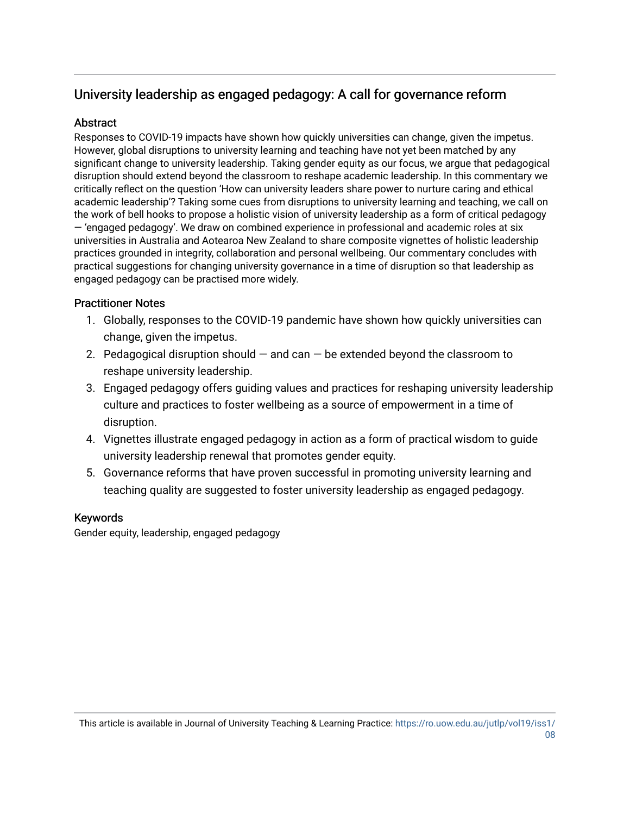## University leadership as engaged pedagogy: A call for governance reform

### **Abstract**

Responses to COVID-19 impacts have shown how quickly universities can change, given the impetus. However, global disruptions to university learning and teaching have not yet been matched by any significant change to university leadership. Taking gender equity as our focus, we argue that pedagogical disruption should extend beyond the classroom to reshape academic leadership. In this commentary we critically reflect on the question 'How can university leaders share power to nurture caring and ethical academic leadership'? Taking some cues from disruptions to university learning and teaching, we call on the work of bell hooks to propose a holistic vision of university leadership as a form of critical pedagogy — 'engaged pedagogy'. We draw on combined experience in professional and academic roles at six universities in Australia and Aotearoa New Zealand to share composite vignettes of holistic leadership practices grounded in integrity, collaboration and personal wellbeing. Our commentary concludes with practical suggestions for changing university governance in a time of disruption so that leadership as engaged pedagogy can be practised more widely.

### Practitioner Notes

- 1. Globally, responses to the COVID-19 pandemic have shown how quickly universities can change, given the impetus.
- 2. Pedagogical disruption should  $-$  and can  $-$  be extended beyond the classroom to reshape university leadership.
- 3. Engaged pedagogy offers guiding values and practices for reshaping university leadership culture and practices to foster wellbeing as a source of empowerment in a time of disruption.
- 4. Vignettes illustrate engaged pedagogy in action as a form of practical wisdom to guide university leadership renewal that promotes gender equity.
- 5. Governance reforms that have proven successful in promoting university learning and teaching quality are suggested to foster university leadership as engaged pedagogy.

### Keywords

Gender equity, leadership, engaged pedagogy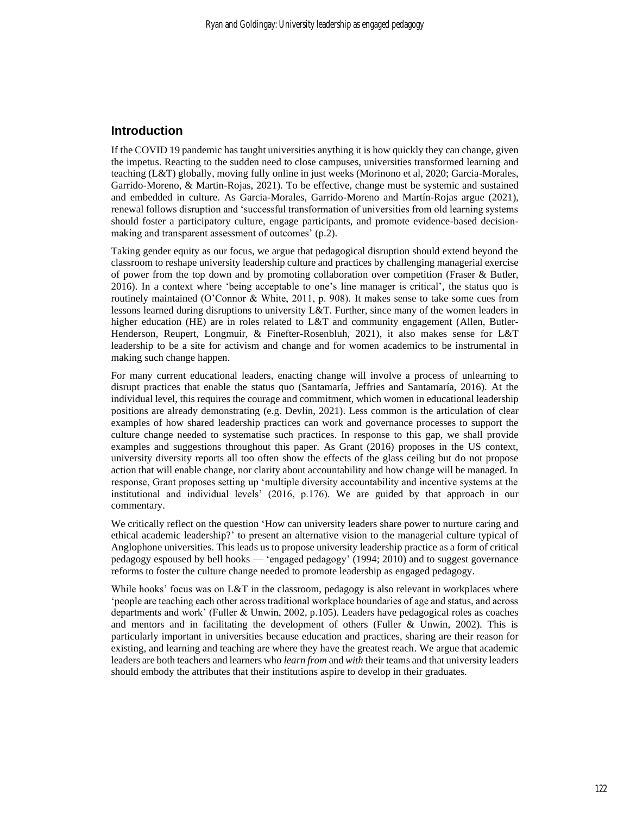### **Introduction**

If the COVID 19 pandemic has taught universities anything it is how quickly they can change, given the impetus. Reacting to the sudden need to close campuses, universities transformed learning and teaching (L&T) globally, moving fully online in just weeks (Morinono et al, 2020; Garcia-Morales, Garrido-Moreno, & Martin-Rojas, 2021). To be effective, change must be systemic and sustained and embedded in culture. As Garcia-Morales, Garrido-Moreno and Martín-Rojas argue (2021), renewal follows disruption and 'successful transformation of universities from old learning systems should foster a participatory culture, engage participants, and promote evidence-based decisionmaking and transparent assessment of outcomes' (p.2).

Taking gender equity as our focus, we argue that pedagogical disruption should extend beyond the classroom to reshape university leadership culture and practices by challenging managerial exercise of power from the top down and by promoting collaboration over competition (Fraser & Butler, 2016). In a context where 'being acceptable to one's line manager is critical', the status quo is routinely maintained (O'Connor & White, 2011, p. 908). It makes sense to take some cues from lessons learned during disruptions to university L&T. Further, since many of the women leaders in higher education (HE) are in roles related to L&T and community engagement (Allen, Butler-Henderson, Reupert, Longmuir, & Finefter-Rosenbluh, 2021), it also makes sense for L&T leadership to be a site for activism and change and for women academics to be instrumental in making such change happen.

For many current educational leaders, enacting change will involve a process of unlearning to disrupt practices that enable the status quo (Santamaría, Jeffries and Santamaría, 2016). At the individual level, this requires the courage and commitment, which women in educational leadership positions are already demonstrating (e.g. Devlin, 2021). Less common is the articulation of clear examples of how shared leadership practices can work and governance processes to support the culture change needed to systematise such practices. In response to this gap, we shall provide examples and suggestions throughout this paper. As Grant (2016) proposes in the US context, university diversity reports all too often show the effects of the glass ceiling but do not propose action that will enable change, nor clarity about accountability and how change will be managed. In response, Grant proposes setting up 'multiple diversity accountability and incentive systems at the institutional and individual levels' (2016, p.176). We are guided by that approach in our commentary.

We critically reflect on the question 'How can university leaders share power to nurture caring and ethical academic leadership?' to present an alternative vision to the managerial culture typical of Anglophone universities. This leads us to propose university leadership practice as a form of critical pedagogy espoused by bell hooks — 'engaged pedagogy' (1994; 2010) and to suggest governance reforms to foster the culture change needed to promote leadership as engaged pedagogy.

While hooks' focus was on L&T in the classroom, pedagogy is also relevant in workplaces where 'people are teaching each other across traditional workplace boundaries of age and status, and across departments and work' (Fuller & Unwin, 2002, p.105). Leaders have pedagogical roles as coaches and mentors and in facilitating the development of others (Fuller & Unwin, 2002). This is particularly important in universities because education and practices, sharing are their reason for existing, and learning and teaching are where they have the greatest reach. We argue that academic leaders are both teachers and learners who *learn from* and *with* their teams and that university leaders should embody the attributes that their institutions aspire to develop in their graduates.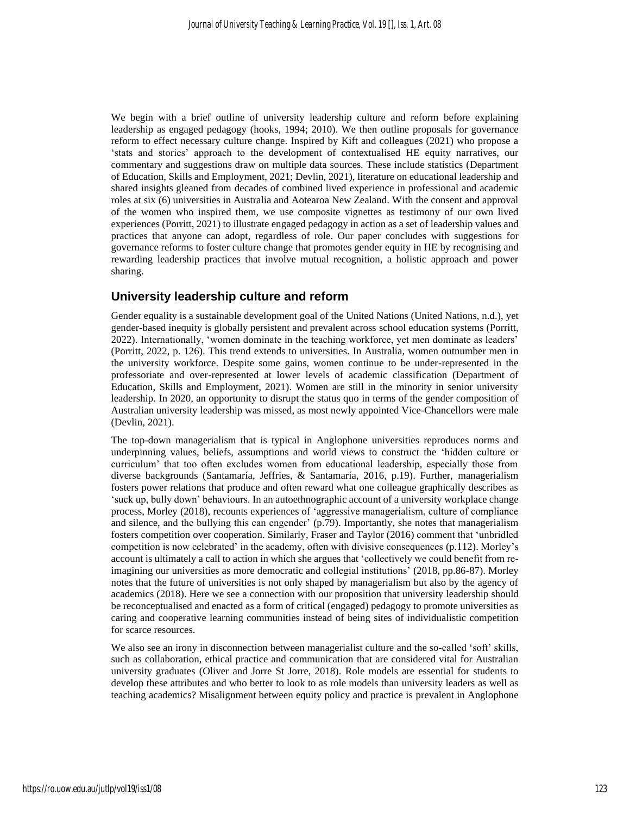We begin with a brief outline of university leadership culture and reform before explaining leadership as engaged pedagogy (hooks, 1994; 2010). We then outline proposals for governance reform to effect necessary culture change. Inspired by Kift and colleagues (2021) who propose a 'stats and stories' approach to the development of contextualised HE equity narratives, our commentary and suggestions draw on multiple data sources. These include statistics (Department of Education, Skills and Employment, 2021; Devlin, 2021), literature on educational leadership and shared insights gleaned from decades of combined lived experience in professional and academic roles at six (6) universities in Australia and Aotearoa New Zealand. With the consent and approval of the women who inspired them, we use composite vignettes as testimony of our own lived experiences (Porritt, 2021) to illustrate engaged pedagogy in action as a set of leadership values and practices that anyone can adopt, regardless of role. Our paper concludes with suggestions for governance reforms to foster culture change that promotes gender equity in HE by recognising and rewarding leadership practices that involve mutual recognition, a holistic approach and power sharing.

### **University leadership culture and reform**

Gender equality is a sustainable development goal of the United Nations (United Nations, n.d.), yet gender-based inequity is globally persistent and prevalent across school education systems (Porritt, 2022). Internationally, 'women dominate in the teaching workforce, yet men dominate as leaders' (Porritt, 2022, p. 126). This trend extends to universities. In Australia, women outnumber men in the university workforce. Despite some gains, women continue to be under-represented in the professoriate and over-represented at lower levels of academic classification (Department of Education, Skills and Employment, 2021). Women are still in the minority in senior university leadership. In 2020, an opportunity to disrupt the status quo in terms of the gender composition of Australian university leadership was missed, as most newly appointed Vice-Chancellors were male (Devlin, 2021).

The top-down managerialism that is typical in Anglophone universities reproduces norms and underpinning values, beliefs, assumptions and world views to construct the 'hidden culture or curriculum' that too often excludes women from educational leadership, especially those from diverse backgrounds (Santamaría, Jeffries, & Santamaría, 2016, p.19). Further, managerialism fosters power relations that produce and often reward what one colleague graphically describes as 'suck up, bully down' behaviours. In an autoethnographic account of a university workplace change process, Morley (2018), recounts experiences of 'aggressive managerialism, culture of compliance and silence, and the bullying this can engender' (p.79). Importantly, she notes that managerialism fosters competition over cooperation. Similarly, Fraser and Taylor (2016) comment that 'unbridled competition is now celebrated' in the academy, often with divisive consequences (p.112). Morley's account is ultimately a call to action in which she argues that 'collectively we could benefit from reimagining our universities as more democratic and collegial institutions' (2018, pp.86-87). Morley notes that the future of universities is not only shaped by managerialism but also by the agency of academics (2018). Here we see a connection with our proposition that university leadership should be reconceptualised and enacted as a form of critical (engaged) pedagogy to promote universities as caring and cooperative learning communities instead of being sites of individualistic competition for scarce resources.

We also see an irony in disconnection between managerialist culture and the so-called 'soft' skills, such as collaboration, ethical practice and communication that are considered vital for Australian university graduates (Oliver and Jorre St Jorre, 2018). Role models are essential for students to develop these attributes and who better to look to as role models than university leaders as well as teaching academics? Misalignment between equity policy and practice is prevalent in Anglophone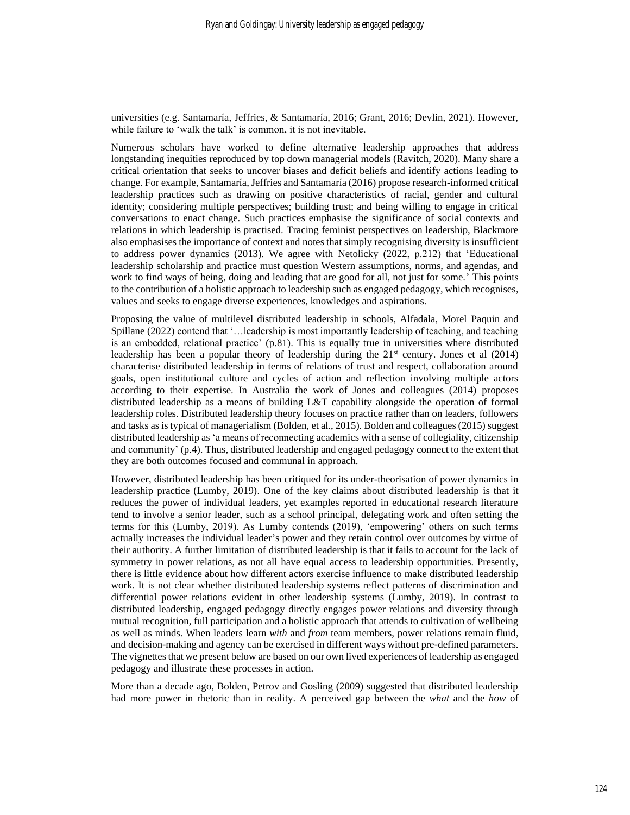universities (e.g. Santamaría, Jeffries, & Santamaría, 2016; Grant, 2016; Devlin, 2021). However, while failure to 'walk the talk' is common, it is not inevitable.

Numerous scholars have worked to define alternative leadership approaches that address longstanding inequities reproduced by top down managerial models (Ravitch, 2020). Many share a critical orientation that seeks to uncover biases and deficit beliefs and identify actions leading to change. For example, Santamaría, Jeffries and Santamaría (2016) propose research-informed critical leadership practices such as drawing on positive characteristics of racial, gender and cultural identity; considering multiple perspectives; building trust; and being willing to engage in critical conversations to enact change. Such practices emphasise the significance of social contexts and relations in which leadership is practised. Tracing feminist perspectives on leadership, Blackmore also emphasises the importance of context and notes that simply recognising diversity is insufficient to address power dynamics (2013). We agree with Netolicky (2022, p.212) that 'Educational leadership scholarship and practice must question Western assumptions, norms, and agendas, and work to find ways of being, doing and leading that are good for all, not just for some.' This points to the contribution of a holistic approach to leadership such as engaged pedagogy, which recognises, values and seeks to engage diverse experiences, knowledges and aspirations.

Proposing the value of multilevel distributed leadership in schools, Alfadala, Morel Paquin and Spillane (2022) contend that '…leadership is most importantly leadership of teaching, and teaching is an embedded, relational practice' (p.81). This is equally true in universities where distributed leadership has been a popular theory of leadership during the  $21<sup>st</sup>$  century. Jones et al (2014) characterise distributed leadership in terms of relations of trust and respect, collaboration around goals, open institutional culture and cycles of action and reflection involving multiple actors according to their expertise. In Australia the work of Jones and colleagues (2014) proposes distributed leadership as a means of building L&T capability alongside the operation of formal leadership roles. Distributed leadership theory focuses on practice rather than on leaders, followers and tasks as is typical of managerialism (Bolden, et al., 2015). Bolden and colleagues (2015) suggest distributed leadership as 'a means of reconnecting academics with a sense of collegiality, citizenship and community' (p.4). Thus, distributed leadership and engaged pedagogy connect to the extent that they are both outcomes focused and communal in approach.

However, distributed leadership has been critiqued for its under-theorisation of power dynamics in leadership practice (Lumby, 2019). One of the key claims about distributed leadership is that it reduces the power of individual leaders, yet examples reported in educational research literature tend to involve a senior leader, such as a school principal, delegating work and often setting the terms for this (Lumby, 2019). As Lumby contends (2019), 'empowering' others on such terms actually increases the individual leader's power and they retain control over outcomes by virtue of their authority. A further limitation of distributed leadership is that it fails to account for the lack of symmetry in power relations, as not all have equal access to leadership opportunities. Presently, there is little evidence about how different actors exercise influence to make distributed leadership work. It is not clear whether distributed leadership systems reflect patterns of discrimination and differential power relations evident in other leadership systems (Lumby, 2019). In contrast to distributed leadership, engaged pedagogy directly engages power relations and diversity through mutual recognition, full participation and a holistic approach that attends to cultivation of wellbeing as well as minds. When leaders learn *with* and *from* team members, power relations remain fluid, and decision-making and agency can be exercised in different ways without pre-defined parameters. The vignettes that we present below are based on our own lived experiences of leadership as engaged pedagogy and illustrate these processes in action.

More than a decade ago, Bolden, Petrov and Gosling (2009) suggested that distributed leadership had more power in rhetoric than in reality. A perceived gap between the *what* and the *how* of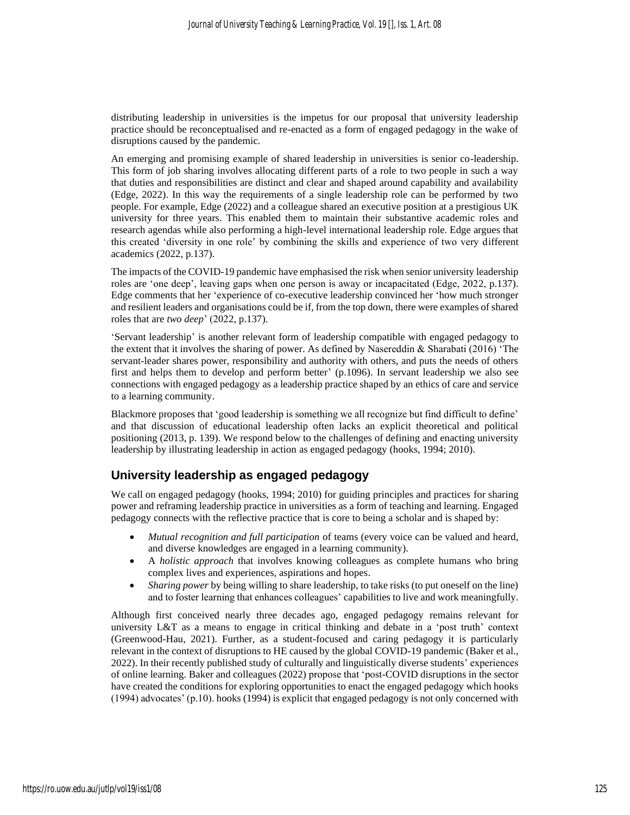distributing leadership in universities is the impetus for our proposal that university leadership practice should be reconceptualised and re-enacted as a form of engaged pedagogy in the wake of disruptions caused by the pandemic.

An emerging and promising example of shared leadership in universities is senior co-leadership. This form of job sharing involves allocating different parts of a role to two people in such a way that duties and responsibilities are distinct and clear and shaped around capability and availability (Edge, 2022). In this way the requirements of a single leadership role can be performed by two people. For example, Edge (2022) and a colleague shared an executive position at a prestigious UK university for three years. This enabled them to maintain their substantive academic roles and research agendas while also performing a high-level international leadership role. Edge argues that this created 'diversity in one role' by combining the skills and experience of two very different academics (2022, p.137).

The impacts of the COVID-19 pandemic have emphasised the risk when senior university leadership roles are 'one deep', leaving gaps when one person is away or incapacitated (Edge, 2022, p.137). Edge comments that her 'experience of co-executive leadership convinced her 'how much stronger and resilient leaders and organisations could be if, from the top down, there were examples of shared roles that are *two deep*' (2022, p.137).

'Servant leadership' is another relevant form of leadership compatible with engaged pedagogy to the extent that it involves the sharing of power. As defined by Nasereddin & Sharabati (2016) 'The servant-leader shares power, responsibility and authority with others, and puts the needs of others first and helps them to develop and perform better' (p.1096). In servant leadership we also see connections with engaged pedagogy as a leadership practice shaped by an ethics of care and service to a learning community.

Blackmore proposes that 'good leadership is something we all recognize but find difficult to define' and that discussion of educational leadership often lacks an explicit theoretical and political positioning (2013, p. 139). We respond below to the challenges of defining and enacting university leadership by illustrating leadership in action as engaged pedagogy (hooks, 1994; 2010).

### **University leadership as engaged pedagogy**

We call on engaged pedagogy (hooks, 1994; 2010) for guiding principles and practices for sharing power and reframing leadership practice in universities as a form of teaching and learning. Engaged pedagogy connects with the reflective practice that is core to being a scholar and is shaped by:

- *Mutual recognition and full participation* of teams (every voice can be valued and heard, and diverse knowledges are engaged in a learning community).
- A *holistic approach* that involves knowing colleagues as complete humans who bring complex lives and experiences, aspirations and hopes.
- *Sharing power* by being willing to share leadership, to take risks (to put oneself on the line) and to foster learning that enhances colleagues' capabilities to live and work meaningfully.

Although first conceived nearly three decades ago, engaged pedagogy remains relevant for university L&T as a means to engage in critical thinking and debate in a 'post truth' context (Greenwood-Hau, 2021). Further, as a student-focused and caring pedagogy it is particularly relevant in the context of disruptions to HE caused by the global COVID-19 pandemic (Baker et al., 2022). In their recently published study of culturally and linguistically diverse students' experiences of online learning. Baker and colleagues (2022) propose that 'post-COVID disruptions in the sector have created the conditions for exploring opportunities to enact the engaged pedagogy which hooks (1994) advocates' (p.10). hooks (1994) is explicit that engaged pedagogy is not only concerned with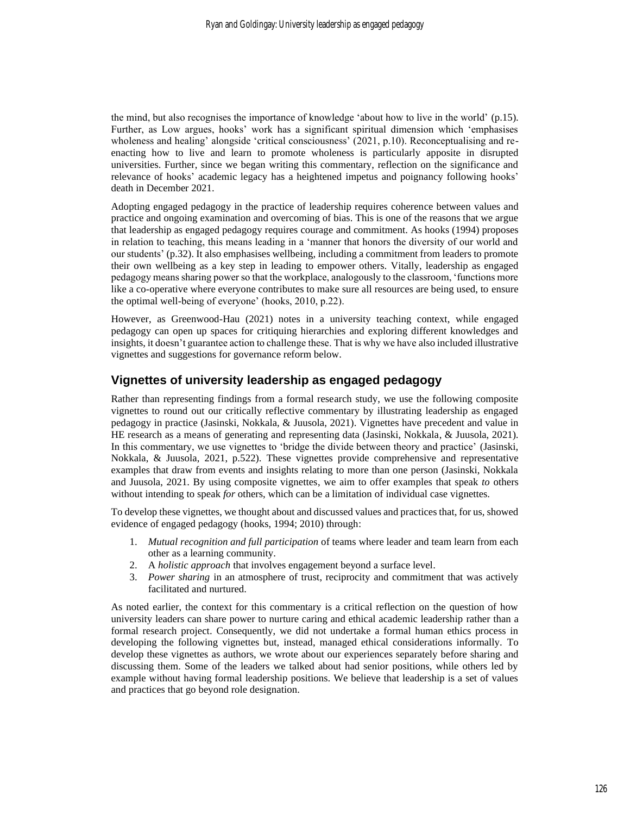the mind, but also recognises the importance of knowledge 'about how to live in the world' (p.15). Further, as Low argues, hooks' work has a significant spiritual dimension which 'emphasises wholeness and healing' alongside 'critical consciousness' (2021, p.10). Reconceptualising and reenacting how to live and learn to promote wholeness is particularly apposite in disrupted universities. Further, since we began writing this commentary, reflection on the significance and relevance of hooks' academic legacy has a heightened impetus and poignancy following hooks' death in December 2021.

Adopting engaged pedagogy in the practice of leadership requires coherence between values and practice and ongoing examination and overcoming of bias. This is one of the reasons that we argue that leadership as engaged pedagogy requires courage and commitment. As hooks (1994) proposes in relation to teaching, this means leading in a 'manner that honors the diversity of our world and our students' (p.32). It also emphasises wellbeing, including a commitment from leaders to promote their own wellbeing as a key step in leading to empower others. Vitally, leadership as engaged pedagogy means sharing power so that the workplace, analogously to the classroom, 'functions more like a co-operative where everyone contributes to make sure all resources are being used, to ensure the optimal well-being of everyone' (hooks, 2010, p.22).

However, as Greenwood-Hau (2021) notes in a university teaching context, while engaged pedagogy can open up spaces for critiquing hierarchies and exploring different knowledges and insights, it doesn't guarantee action to challenge these. That is why we have also included illustrative vignettes and suggestions for governance reform below.

### **Vignettes of university leadership as engaged pedagogy**

Rather than representing findings from a formal research study, we use the following composite vignettes to round out our critically reflective commentary by illustrating leadership as engaged pedagogy in practice (Jasinski, Nokkala, & Juusola, 2021). Vignettes have precedent and value in HE research as a means of generating and representing data (Jasinski, Nokkala, & Juusola, 2021). In this commentary, we use vignettes to 'bridge the divide between theory and practice' (Jasinski, Nokkala, & Juusola, 2021, p.522). These vignettes provide comprehensive and representative examples that draw from events and insights relating to more than one person (Jasinski, Nokkala and Juusola, 2021. By using composite vignettes, we aim to offer examples that speak *to* others without intending to speak *for* others, which can be a limitation of individual case vignettes.

To develop these vignettes, we thought about and discussed values and practices that, for us, showed evidence of engaged pedagogy (hooks, 1994; 2010) through:

- 1. *Mutual recognition and full participation* of teams where leader and team learn from each other as a learning community.
- 2. A *holistic approach* that involves engagement beyond a surface level.
- 3. *Power sharing* in an atmosphere of trust, reciprocity and commitment that was actively facilitated and nurtured.

As noted earlier, the context for this commentary is a critical reflection on the question of how university leaders can share power to nurture caring and ethical academic leadership rather than a formal research project. Consequently, we did not undertake a formal human ethics process in developing the following vignettes but, instead, managed ethical considerations informally. To develop these vignettes as authors, we wrote about our experiences separately before sharing and discussing them. Some of the leaders we talked about had senior positions, while others led by example without having formal leadership positions. We believe that leadership is a set of values and practices that go beyond role designation.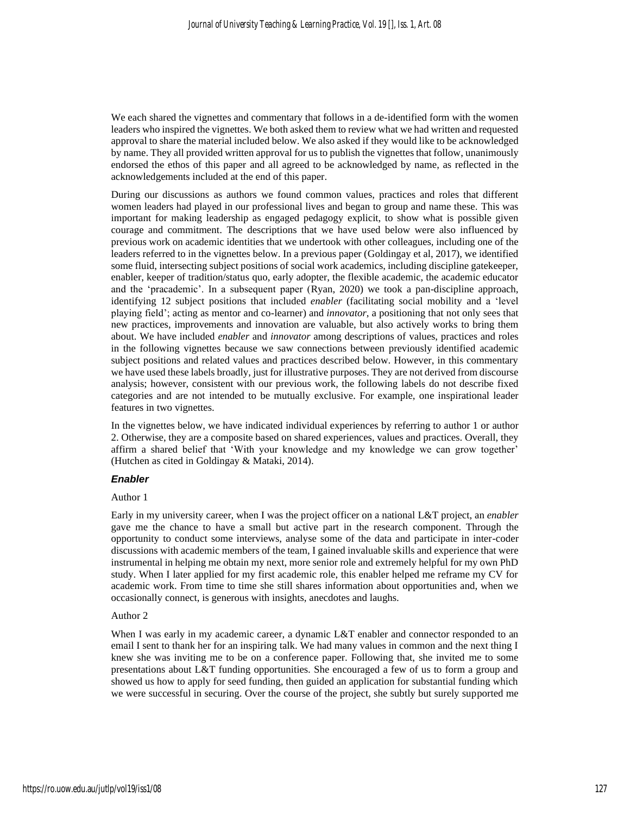We each shared the vignettes and commentary that follows in a de-identified form with the women leaders who inspired the vignettes. We both asked them to review what we had written and requested approval to share the material included below. We also asked if they would like to be acknowledged by name. They all provided written approval for us to publish the vignettes that follow, unanimously endorsed the ethos of this paper and all agreed to be acknowledged by name, as reflected in the acknowledgements included at the end of this paper.

During our discussions as authors we found common values, practices and roles that different women leaders had played in our professional lives and began to group and name these. This was important for making leadership as engaged pedagogy explicit, to show what is possible given courage and commitment. The descriptions that we have used below were also influenced by previous work on academic identities that we undertook with other colleagues, including one of the leaders referred to in the vignettes below. In a previous paper (Goldingay et al, 2017), we identified some fluid, intersecting subject positions of social work academics, including discipline gatekeeper, enabler, keeper of tradition/status quo, early adopter, the flexible academic, the academic educator and the 'pracademic'. In a subsequent paper (Ryan, 2020) we took a pan-discipline approach, identifying 12 subject positions that included *enabler* (facilitating social mobility and a 'level playing field'; acting as mentor and co-learner) and *innovator*, a positioning that not only sees that new practices, improvements and innovation are valuable, but also actively works to bring them about. We have included *enabler* and *innovator* among descriptions of values, practices and roles in the following vignettes because we saw connections between previously identified academic subject positions and related values and practices described below. However, in this commentary we have used these labels broadly, just for illustrative purposes. They are not derived from discourse analysis; however, consistent with our previous work, the following labels do not describe fixed categories and are not intended to be mutually exclusive. For example, one inspirational leader features in two vignettes.

In the vignettes below, we have indicated individual experiences by referring to author 1 or author 2. Otherwise, they are a composite based on shared experiences, values and practices. Overall, they affirm a shared belief that 'With your knowledge and my knowledge we can grow together' (Hutchen as cited in Goldingay & Mataki, 2014).

#### *Enabler*

#### Author 1

Early in my university career, when I was the project officer on a national L&T project, an *enabler* gave me the chance to have a small but active part in the research component. Through the opportunity to conduct some interviews, analyse some of the data and participate in inter-coder discussions with academic members of the team, I gained invaluable skills and experience that were instrumental in helping me obtain my next, more senior role and extremely helpful for my own PhD study. When I later applied for my first academic role, this enabler helped me reframe my CV for academic work. From time to time she still shares information about opportunities and, when we occasionally connect, is generous with insights, anecdotes and laughs.

#### Author 2

When I was early in my academic career, a dynamic L&T enabler and connector responded to an email I sent to thank her for an inspiring talk. We had many values in common and the next thing I knew she was inviting me to be on a conference paper. Following that, she invited me to some presentations about L&T funding opportunities. She encouraged a few of us to form a group and showed us how to apply for seed funding, then guided an application for substantial funding which we were successful in securing. Over the course of the project, she subtly but surely supported me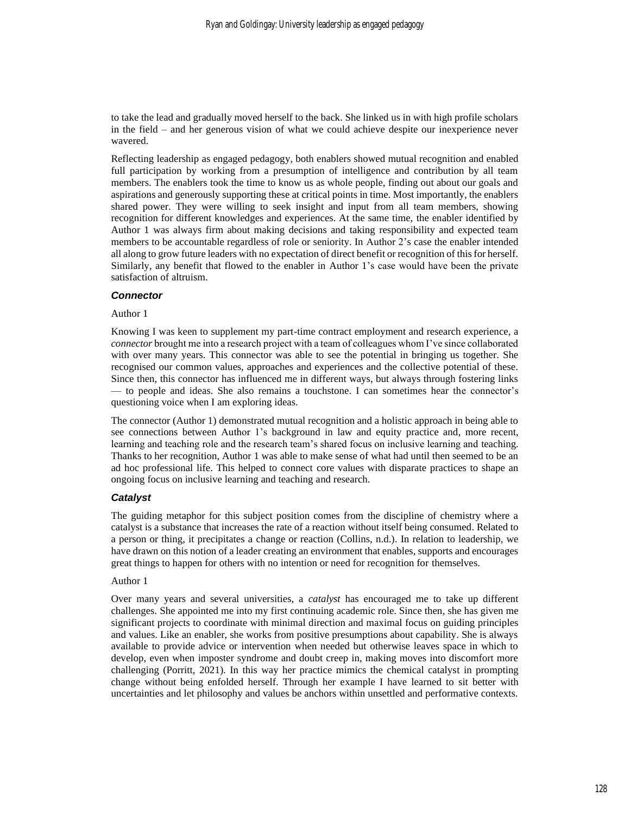to take the lead and gradually moved herself to the back. She linked us in with high profile scholars in the field – and her generous vision of what we could achieve despite our inexperience never wavered.

Reflecting leadership as engaged pedagogy, both enablers showed mutual recognition and enabled full participation by working from a presumption of intelligence and contribution by all team members. The enablers took the time to know us as whole people, finding out about our goals and aspirations and generously supporting these at critical points in time. Most importantly, the enablers shared power. They were willing to seek insight and input from all team members, showing recognition for different knowledges and experiences. At the same time, the enabler identified by Author 1 was always firm about making decisions and taking responsibility and expected team members to be accountable regardless of role or seniority. In Author 2's case the enabler intended all along to grow future leaders with no expectation of direct benefit or recognition of this for herself. Similarly, any benefit that flowed to the enabler in Author 1's case would have been the private satisfaction of altruism.

#### *Connector*

#### Author 1

Knowing I was keen to supplement my part-time contract employment and research experience, a *connector* brought me into a research project with a team of colleagues whom I've since collaborated with over many years. This connector was able to see the potential in bringing us together. She recognised our common values, approaches and experiences and the collective potential of these. Since then, this connector has influenced me in different ways, but always through fostering links — to people and ideas. She also remains a touchstone. I can sometimes hear the connector's questioning voice when I am exploring ideas.

The connector (Author 1) demonstrated mutual recognition and a holistic approach in being able to see connections between Author 1's background in law and equity practice and, more recent, learning and teaching role and the research team's shared focus on inclusive learning and teaching. Thanks to her recognition, Author 1 was able to make sense of what had until then seemed to be an ad hoc professional life. This helped to connect core values with disparate practices to shape an ongoing focus on inclusive learning and teaching and research.

#### *Catalyst*

The guiding metaphor for this subject position comes from the discipline of chemistry where a catalyst is a substance that increases the rate of a reaction without itself being consumed. Related to a person or thing, it precipitates a change or reaction (Collins, n.d.). In relation to leadership, we have drawn on this notion of a leader creating an environment that enables, supports and encourages great things to happen for others with no intention or need for recognition for themselves.

#### Author 1

Over many years and several universities, a *catalyst* has encouraged me to take up different challenges. She appointed me into my first continuing academic role. Since then, she has given me significant projects to coordinate with minimal direction and maximal focus on guiding principles and values. Like an enabler, she works from positive presumptions about capability. She is always available to provide advice or intervention when needed but otherwise leaves space in which to develop, even when imposter syndrome and doubt creep in, making moves into discomfort more challenging (Porritt, 2021). In this way her practice mimics the chemical catalyst in prompting change without being enfolded herself. Through her example I have learned to sit better with uncertainties and let philosophy and values be anchors within unsettled and performative contexts.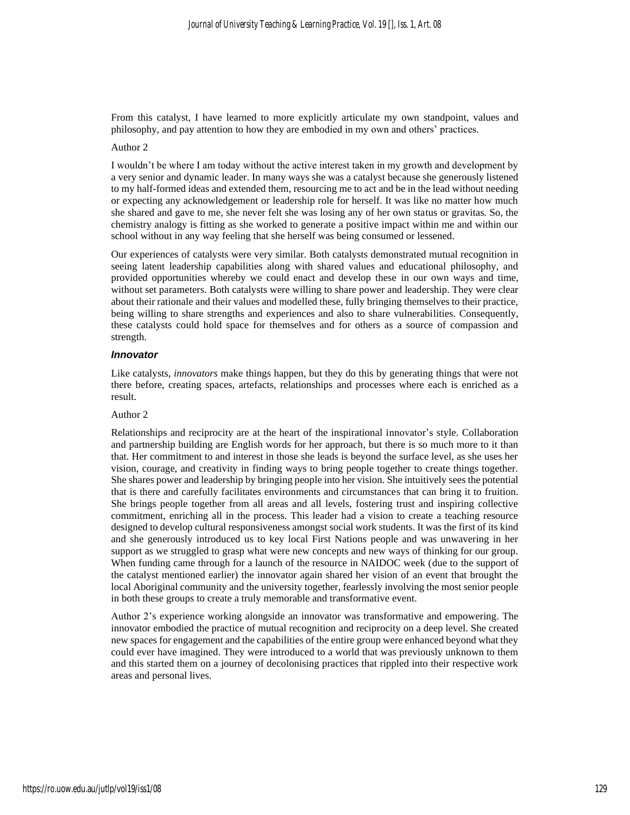From this catalyst, I have learned to more explicitly articulate my own standpoint, values and philosophy, and pay attention to how they are embodied in my own and others' practices.

#### Author 2

I wouldn't be where I am today without the active interest taken in my growth and development by a very senior and dynamic leader. In many ways she was a catalyst because she generously listened to my half-formed ideas and extended them, resourcing me to act and be in the lead without needing or expecting any acknowledgement or leadership role for herself. It was like no matter how much she shared and gave to me, she never felt she was losing any of her own status or gravitas. So, the chemistry analogy is fitting as she worked to generate a positive impact within me and within our school without in any way feeling that she herself was being consumed or lessened.

Our experiences of catalysts were very similar. Both catalysts demonstrated mutual recognition in seeing latent leadership capabilities along with shared values and educational philosophy, and provided opportunities whereby we could enact and develop these in our own ways and time, without set parameters. Both catalysts were willing to share power and leadership. They were clear about their rationale and their values and modelled these, fully bringing themselves to their practice, being willing to share strengths and experiences and also to share vulnerabilities. Consequently, these catalysts could hold space for themselves and for others as a source of compassion and strength.

#### *Innovator*

Like catalysts, *innovators* make things happen, but they do this by generating things that were not there before, creating spaces, artefacts, relationships and processes where each is enriched as a result.

#### Author 2

Relationships and reciprocity are at the heart of the inspirational innovator's style. Collaboration and partnership building are English words for her approach, but there is so much more to it than that. Her commitment to and interest in those she leads is beyond the surface level, as she uses her vision, courage, and creativity in finding ways to bring people together to create things together. She shares power and leadership by bringing people into her vision. She intuitively sees the potential that is there and carefully facilitates environments and circumstances that can bring it to fruition. She brings people together from all areas and all levels, fostering trust and inspiring collective commitment, enriching all in the process. This leader had a vision to create a teaching resource designed to develop cultural responsiveness amongst social work students. It was the first of its kind and she generously introduced us to key local First Nations people and was unwavering in her support as we struggled to grasp what were new concepts and new ways of thinking for our group. When funding came through for a launch of the resource in NAIDOC week (due to the support of the catalyst mentioned earlier) the innovator again shared her vision of an event that brought the local Aboriginal community and the university together, fearlessly involving the most senior people in both these groups to create a truly memorable and transformative event.

Author 2's experience working alongside an innovator was transformative and empowering. The innovator embodied the practice of mutual recognition and reciprocity on a deep level. She created new spaces for engagement and the capabilities of the entire group were enhanced beyond what they could ever have imagined. They were introduced to a world that was previously unknown to them and this started them on a journey of decolonising practices that rippled into their respective work areas and personal lives.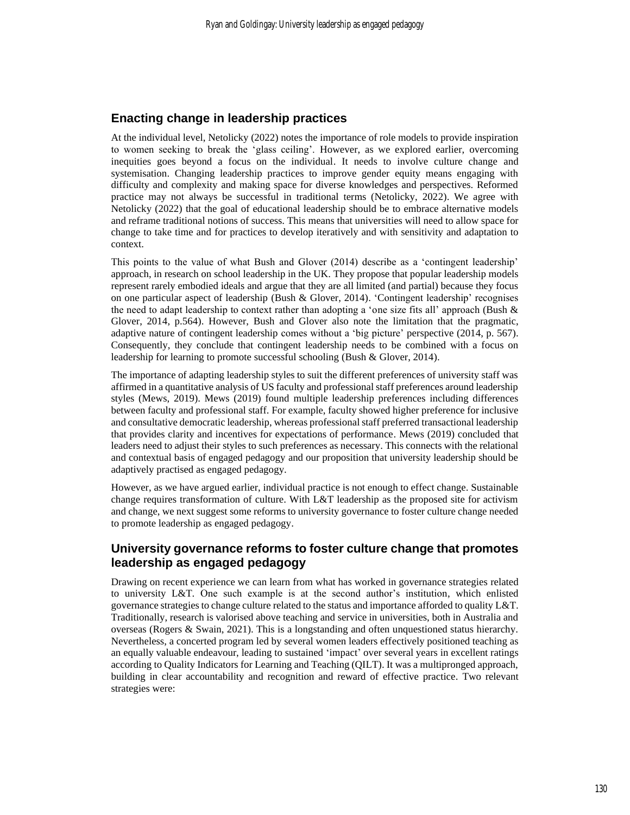### **Enacting change in leadership practices**

At the individual level, Netolicky (2022) notes the importance of role models to provide inspiration to women seeking to break the 'glass ceiling'. However, as we explored earlier, overcoming inequities goes beyond a focus on the individual. It needs to involve culture change and systemisation. Changing leadership practices to improve gender equity means engaging with difficulty and complexity and making space for diverse knowledges and perspectives. Reformed practice may not always be successful in traditional terms (Netolicky, 2022). We agree with Netolicky (2022) that the goal of educational leadership should be to embrace alternative models and reframe traditional notions of success. This means that universities will need to allow space for change to take time and for practices to develop iteratively and with sensitivity and adaptation to context.

This points to the value of what Bush and Glover (2014) describe as a 'contingent leadership' approach, in research on school leadership in the UK. They propose that popular leadership models represent rarely embodied ideals and argue that they are all limited (and partial) because they focus on one particular aspect of leadership (Bush & Glover, 2014). 'Contingent leadership' recognises the need to adapt leadership to context rather than adopting a 'one size fits all' approach (Bush & Glover, 2014, p.564). However, Bush and Glover also note the limitation that the pragmatic, adaptive nature of contingent leadership comes without a 'big picture' perspective (2014, p. 567). Consequently, they conclude that contingent leadership needs to be combined with a focus on leadership for learning to promote successful schooling (Bush & Glover, 2014).

The importance of adapting leadership styles to suit the different preferences of university staff was affirmed in a quantitative analysis of US faculty and professional staff preferences around leadership styles (Mews, 2019). Mews (2019) found multiple leadership preferences including differences between faculty and professional staff. For example, faculty showed higher preference for inclusive and consultative democratic leadership, whereas professional staff preferred transactional leadership that provides clarity and incentives for expectations of performance. Mews (2019) concluded that leaders need to adjust their styles to such preferences as necessary. This connects with the relational and contextual basis of engaged pedagogy and our proposition that university leadership should be adaptively practised as engaged pedagogy.

However, as we have argued earlier, individual practice is not enough to effect change. Sustainable change requires transformation of culture. With L&T leadership as the proposed site for activism and change, we next suggest some reforms to university governance to foster culture change needed to promote leadership as engaged pedagogy.

### **University governance reforms to foster culture change that promotes leadership as engaged pedagogy**

Drawing on recent experience we can learn from what has worked in governance strategies related to university L&T. One such example is at the second author's institution, which enlisted governance strategies to change culture related to the status and importance afforded to quality L&T. Traditionally, research is valorised above teaching and service in universities, both in Australia and overseas (Rogers & Swain, 2021). This is a longstanding and often unquestioned status hierarchy. Nevertheless, a concerted program led by several women leaders effectively positioned teaching as an equally valuable endeavour, leading to sustained 'impact' over several years in excellent ratings according to Quality Indicators for Learning and Teaching (QILT). It was a multipronged approach, building in clear accountability and recognition and reward of effective practice. Two relevant strategies were: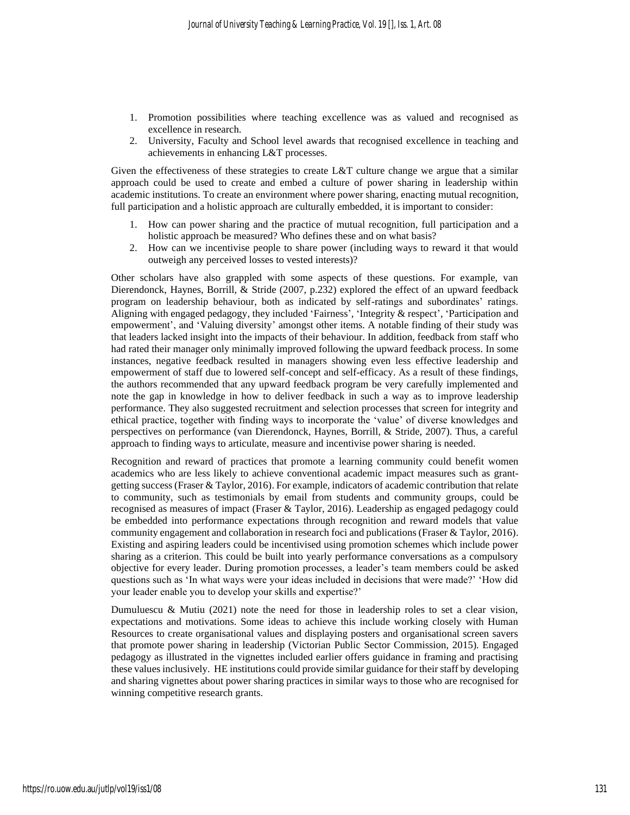- 1. Promotion possibilities where teaching excellence was as valued and recognised as excellence in research.
- 2. University, Faculty and School level awards that recognised excellence in teaching and achievements in enhancing L&T processes.

Given the effectiveness of these strategies to create L&T culture change we argue that a similar approach could be used to create and embed a culture of power sharing in leadership within academic institutions. To create an environment where power sharing, enacting mutual recognition, full participation and a holistic approach are culturally embedded, it is important to consider:

- 1. How can power sharing and the practice of mutual recognition, full participation and a holistic approach be measured? Who defines these and on what basis?
- 2. How can we incentivise people to share power (including ways to reward it that would outweigh any perceived losses to vested interests)?

Other scholars have also grappled with some aspects of these questions. For example, van Dierendonck, Haynes, Borrill, & Stride (2007, p.232) explored the effect of an upward feedback program on leadership behaviour, both as indicated by self-ratings and subordinates' ratings. Aligning with engaged pedagogy, they included 'Fairness', 'Integrity & respect', 'Participation and empowerment', and 'Valuing diversity' amongst other items. A notable finding of their study was that leaders lacked insight into the impacts of their behaviour. In addition, feedback from staff who had rated their manager only minimally improved following the upward feedback process. In some instances, negative feedback resulted in managers showing even less effective leadership and empowerment of staff due to lowered self-concept and self-efficacy. As a result of these findings, the authors recommended that any upward feedback program be very carefully implemented and note the gap in knowledge in how to deliver feedback in such a way as to improve leadership performance. They also suggested recruitment and selection processes that screen for integrity and ethical practice, together with finding ways to incorporate the 'value' of diverse knowledges and perspectives on performance (van Dierendonck, Haynes, Borrill, & Stride, 2007). Thus, a careful approach to finding ways to articulate, measure and incentivise power sharing is needed.

Recognition and reward of practices that promote a learning community could benefit women academics who are less likely to achieve conventional academic impact measures such as grantgetting success(Fraser & Taylor, 2016). For example, indicators of academic contribution that relate to community, such as testimonials by email from students and community groups, could be recognised as measures of impact (Fraser & Taylor, 2016). Leadership as engaged pedagogy could be embedded into performance expectations through recognition and reward models that value community engagement and collaboration in research foci and publications (Fraser & Taylor, 2016). Existing and aspiring leaders could be incentivised using promotion schemes which include power sharing as a criterion. This could be built into yearly performance conversations as a compulsory objective for every leader. During promotion processes, a leader's team members could be asked questions such as 'In what ways were your ideas included in decisions that were made?' 'How did your leader enable you to develop your skills and expertise?'

Dumuluescu & Mutiu (2021) note the need for those in leadership roles to set a clear vision, expectations and motivations. Some ideas to achieve this include working closely with Human Resources to create organisational values and displaying posters and organisational screen savers that promote power sharing in leadership (Victorian Public Sector Commission, 2015). Engaged pedagogy as illustrated in the vignettes included earlier offers guidance in framing and practising these values inclusively. HE institutions could provide similar guidance for their staff by developing and sharing vignettes about power sharing practices in similar ways to those who are recognised for winning competitive research grants.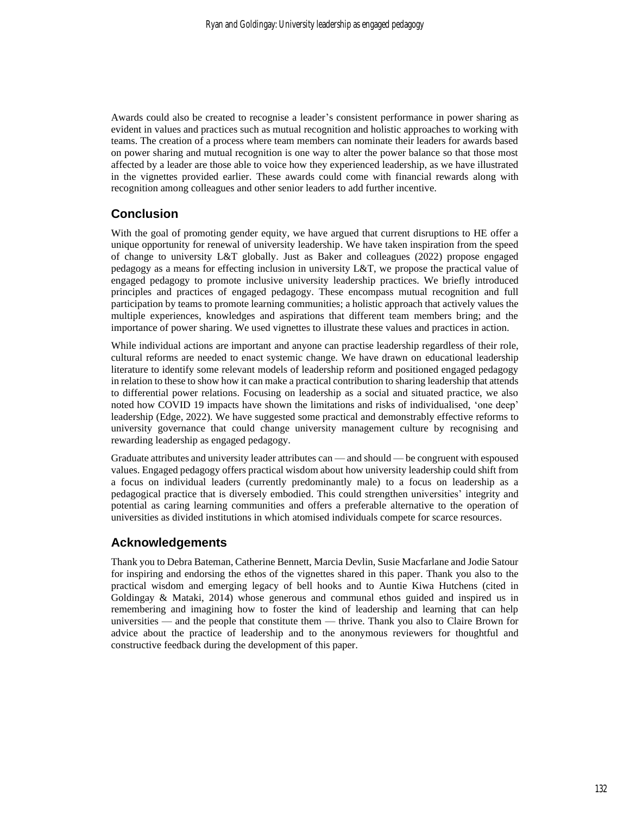Awards could also be created to recognise a leader's consistent performance in power sharing as evident in values and practices such as mutual recognition and holistic approaches to working with teams. The creation of a process where team members can nominate their leaders for awards based on power sharing and mutual recognition is one way to alter the power balance so that those most affected by a leader are those able to voice how they experienced leadership, as we have illustrated in the vignettes provided earlier. These awards could come with financial rewards along with recognition among colleagues and other senior leaders to add further incentive.

### **Conclusion**

With the goal of promoting gender equity, we have argued that current disruptions to HE offer a unique opportunity for renewal of university leadership. We have taken inspiration from the speed of change to university L&T globally. Just as Baker and colleagues (2022) propose engaged pedagogy as a means for effecting inclusion in university L&T, we propose the practical value of engaged pedagogy to promote inclusive university leadership practices. We briefly introduced principles and practices of engaged pedagogy. These encompass mutual recognition and full participation by teams to promote learning communities; a holistic approach that actively values the multiple experiences, knowledges and aspirations that different team members bring; and the importance of power sharing. We used vignettes to illustrate these values and practices in action.

While individual actions are important and anyone can practise leadership regardless of their role, cultural reforms are needed to enact systemic change. We have drawn on educational leadership literature to identify some relevant models of leadership reform and positioned engaged pedagogy in relation to these to show how it can make a practical contribution to sharing leadership that attends to differential power relations. Focusing on leadership as a social and situated practice, we also noted how COVID 19 impacts have shown the limitations and risks of individualised, 'one deep' leadership (Edge, 2022). We have suggested some practical and demonstrably effective reforms to university governance that could change university management culture by recognising and rewarding leadership as engaged pedagogy.

Graduate attributes and university leader attributes can — and should — be congruent with espoused values. Engaged pedagogy offers practical wisdom about how university leadership could shift from a focus on individual leaders (currently predominantly male) to a focus on leadership as a pedagogical practice that is diversely embodied. This could strengthen universities' integrity and potential as caring learning communities and offers a preferable alternative to the operation of universities as divided institutions in which atomised individuals compete for scarce resources.

### **Acknowledgements**

Thank you to Debra Bateman, Catherine Bennett, Marcia Devlin, Susie Macfarlane and Jodie Satour for inspiring and endorsing the ethos of the vignettes shared in this paper. Thank you also to the practical wisdom and emerging legacy of bell hooks and to Auntie Kiwa Hutchens (cited in Goldingay & Mataki, 2014) whose generous and communal ethos guided and inspired us in remembering and imagining how to foster the kind of leadership and learning that can help universities — and the people that constitute them — thrive. Thank you also to Claire Brown for advice about the practice of leadership and to the anonymous reviewers for thoughtful and constructive feedback during the development of this paper.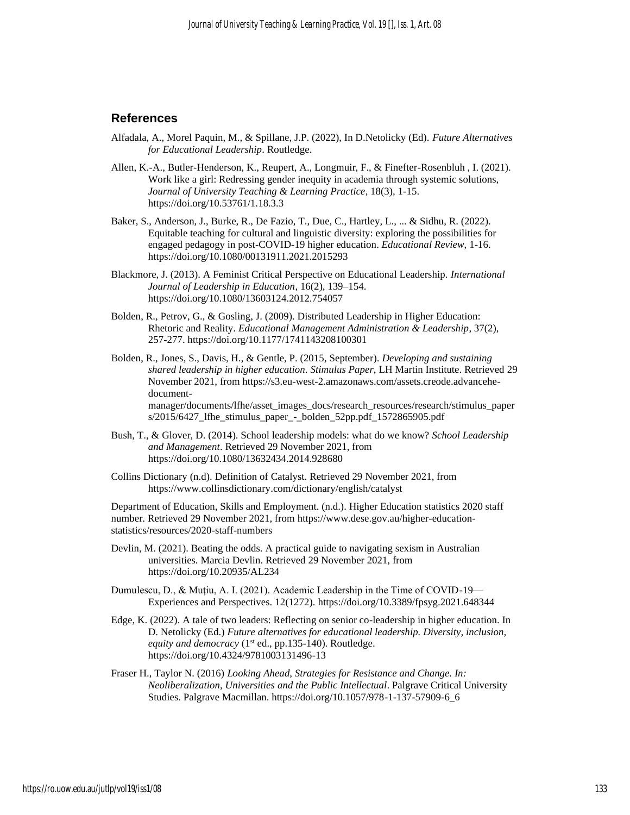### **References**

- Alfadala, A., Morel Paquin, M., & Spillane, J.P. (2022), In D.Netolicky (Ed). *Future Alternatives for Educational Leadership*. Routledge.
- Allen, K.-A., Butler-Henderson, K., Reupert, A., Longmuir, F., & Finefter-Rosenbluh , I. (2021). Work like a girl: Redressing gender inequity in academia through systemic solutions, *Journal of University Teaching & Learning Practice*, 18(3), 1-15. https://doi.org/10.53761/1.18.3.3
- Baker, S., Anderson, J., Burke, R., De Fazio, T., Due, C., Hartley, L., ... & Sidhu, R. (2022). Equitable teaching for cultural and linguistic diversity: exploring the possibilities for engaged pedagogy in post-COVID-19 higher education. *Educational Review*, 1-16. https://doi.org/10.1080/00131911.2021.2015293
- Blackmore, J. (2013). A Feminist Critical Perspective on Educational Leadership. *International Journal of Leadership in Education*, 16(2), 139–154. https://doi.org/10.1080/13603124.2012.754057
- Bolden, R., Petrov, G., & Gosling, J. (2009). Distributed Leadership in Higher Education: Rhetoric and Reality. *Educational Management Administration & Leadership*, 37(2), 257-277. https://doi.org/10.1177/1741143208100301
- Bolden, R., Jones, S., Davis, H., & Gentle, P. (2015, September). *Developing and sustaining shared leadership in higher education. Stimulus Paper,* LH Martin Institute. Retrieved 29 November 2021, from https://s3.eu-west-2.amazonaws.com/assets.creode.advancehedocumentmanager/documents/lfhe/asset\_images\_docs/research\_resources/research/stimulus\_paper

s/2015/6427\_lfhe\_stimulus\_paper\_-\_bolden\_52pp.pdf\_1572865905.pdf

- Bush, T., & Glover, D. (2014). School leadership models: what do we know? *School Leadership and Management*. Retrieved 29 November 2021, from https://doi.org/10.1080/13632434.2014.928680
- Collins Dictionary (n.d). Definition of Catalyst. Retrieved 29 November 2021, from https://www.collinsdictionary.com/dictionary/english/catalyst

Department of Education, Skills and Employment. (n.d.). Higher Education statistics 2020 staff number. Retrieved 29 November 2021, from https://www.dese.gov.au/higher-educationstatistics/resources/2020-staff-numbers

- Devlin, M. (2021). Beating the odds. A practical guide to navigating sexism in Australian universities. Marcia Devlin. Retrieved 29 November 2021, from https://doi.org/10.20935/AL234
- Dumulescu, D., & Muţiu, A. I. (2021). Academic Leadership in the Time of COVID-19— Experiences and Perspectives. 12(1272). <https://doi.org/10.3389/fpsyg.2021.648344>
- Edge, K. (2022). A tale of two leaders: Reflecting on senior co-leadership in higher education. In D. Netolicky (Ed.) *Future alternatives for educational leadership. Diversity, inclusion,*  equity and democracy (1<sup>st</sup> ed., pp.135-140). Routledge. https://doi.org/10.4324/9781003131496-13
- Fraser H., Taylor N. (2016) *Looking Ahead, Strategies for Resistance and Change. In: Neoliberalization, Universities and the Public Intellectual*. Palgrave Critical University Studies. Palgrave Macmillan. https://doi.org/10.1057/978-1-137-57909-6\_6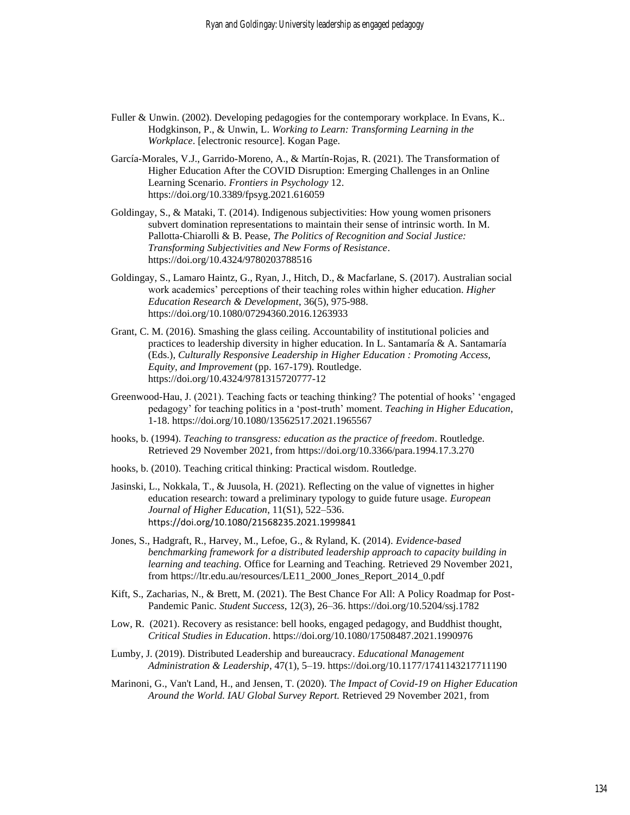- Fuller & Unwin. (2002). Developing pedagogies for the contemporary workplace. In Evans, K.. Hodgkinson, P., & Unwin, L. *Working to Learn: Transforming Learning in the Workplace*. [electronic resource]. Kogan Page.
- García-Morales, V.J., Garrido-Moreno, A., & Martín-Rojas, R. (2021). The Transformation of Higher Education After the COVID Disruption: Emerging Challenges in an Online Learning Scenario. *Frontiers in Psychology* 12. https://doi.org/10.3389/fpsyg.2021.616059
- Goldingay, S., & Mataki, T. (2014). Indigenous subjectivities: How young women prisoners subvert domination representations to maintain their sense of intrinsic worth. In M. Pallotta-Chiarolli & B. Pease, *The Politics of Recognition and Social Justice: Transforming Subjectivities and New Forms of Resistance*. https://doi.org/10.4324/9780203788516
- Goldingay, S., Lamaro Haintz, G., Ryan, J., Hitch, D., & Macfarlane, S. (2017). Australian social work academics' perceptions of their teaching roles within higher education. *Higher Education Research & Development*, 36(5), 975-988. <https://doi.org/10.1080/07294360.2016.1263933>
- Grant, C. M. (2016). Smashing the glass ceiling. Accountability of institutional policies and practices to leadership diversity in higher education. In L. Santamaría & A. Santamaría (Eds.), *Culturally Responsive Leadership in Higher Education : Promoting Access, Equity, and Improvement* (pp. 167-179). Routledge. https://doi.org/10.4324/9781315720777-12
- Greenwood-Hau, J. (2021). Teaching facts or teaching thinking? The potential of hooks' 'engaged pedagogy' for teaching politics in a 'post-truth' moment. *Teaching in Higher Education*, 1-18.<https://doi.org/10.1080/13562517.2021.1965567>
- hooks, b. (1994). *Teaching to transgress: education as the practice of freedom*. Routledge. Retrieved 29 November 2021, from https://doi.org/10.3366/para.1994.17.3.270
- hooks, b. (2010). Teaching critical thinking: Practical wisdom. Routledge.
- Jasinski, L., Nokkala, T., & Juusola, H. (2021). Reflecting on the value of vignettes in higher education research: toward a preliminary typology to guide future usage. *European Journal of Higher Education*, 11(S1), 522–536. <https://doi.org/10.1080/21568235.2021.1999841>
- Jones, S., Hadgraft, R., Harvey, M., Lefoe, G., & Ryland, K. (2014). *Evidence-based benchmarking framework for a distributed leadership approach to capacity building in learning and teaching.* Office for Learning and Teaching. Retrieved 29 November 2021, from https://ltr.edu.au/resources/LE11\_2000\_Jones\_Report\_2014\_0.pdf
- Kift, S., Zacharias, N., & Brett, M. (2021). The Best Chance For All: A Policy Roadmap for Post-Pandemic Panic. *Student Success*, 12(3), 26–36. https://doi.org/10.5204/ssj.1782
- Low, R. (2021). Recovery as resistance: bell hooks, engaged pedagogy, and Buddhist thought, *Critical Studies in Education*[. https://doi.org/10.1080/17508487.2021.1990976](https://doi.org/10.1080/17508487.2021.1990976)
- Lumby, J. (2019). Distributed Leadership and bureaucracy. *Educational Management Administration & Leadership*, 47(1), 5–19. https://doi.org/10.1177/1741143217711190
- Marinoni, G., Van't Land, H., and Jensen, T. (2020). T*he Impact of Covid-19 on Higher Education Around the World. IAU Global Survey Report.* Retrieved 29 November 2021, from